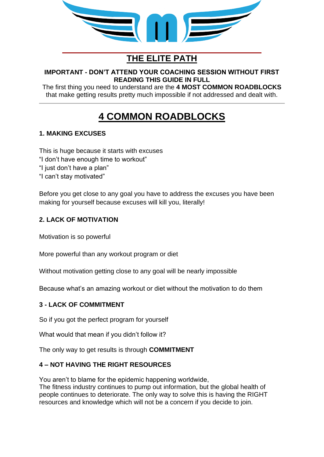

## **THE ELITE PATH**

#### **IMPORTANT - DON'T ATTEND YOUR COACHING SESSION WITHOUT FIRST READING THIS GUIDE IN FULL**

The first thing you need to understand are the **4 MOST COMMON ROADBLOCKS** that make getting results pretty much impossible if not addressed and dealt with.

# **4 COMMON ROADBLOCKS**

## **1. MAKING EXCUSES**

This is huge because it starts with excuses "I don't have enough time to workout" "I just don't have a plan" "I can't stay motivated"

Before you get close to any goal you have to address the excuses you have been making for yourself because excuses will kill you, literally!

## **2. LACK OF MOTIVATION**

Motivation is so powerful

More powerful than any workout program or diet

Without motivation getting close to any goal will be nearly impossible

Because what's an amazing workout or diet without the motivation to do them

### **3 - LACK OF COMMITMENT**

So if you got the perfect program for yourself

What would that mean if you didn't follow it?

The only way to get results is through **COMMITMENT**

### **4 – NOT HAVING THE RIGHT RESOURCES**

You aren't to blame for the epidemic happening worldwide, The fitness industry continues to pump out information, but the global health of people continues to deteriorate. The only way to solve this is having the RIGHT resources and knowledge which will not be a concern if you decide to join.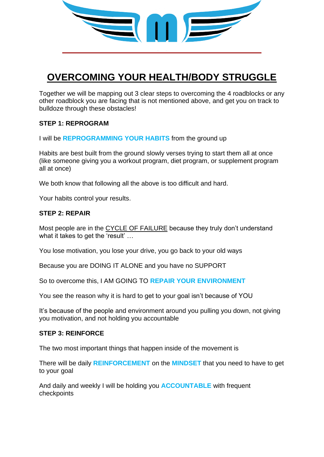

## **OVERCOMING YOUR HEALTH/BODY STRUGGLE**

Together we will be mapping out 3 clear steps to overcoming the 4 roadblocks or any other roadblock you are facing that is not mentioned above, and get you on track to bulldoze through these obstacles!

#### **STEP 1: REPROGRAM**

I will be **REPROGRAMMING YOUR HABITS** from the ground up

Habits are best built from the ground slowly verses trying to start them all at once (like someone giving you a workout program, diet program, or supplement program all at once)

We both know that following all the above is too difficult and hard.

Your habits control your results.

#### **STEP 2: REPAIR**

Most people are in the CYCLE OF FAILURE because they truly don't understand what it takes to get the 'result' …

You lose motivation, you lose your drive, you go back to your old ways

Because you are DOING IT ALONE and you have no SUPPORT

So to overcome this, I AM GOING TO **REPAIR YOUR ENVIRONMENT** 

You see the reason why it is hard to get to your goal isn't because of YOU

It's because of the people and environment around you pulling you down, not giving you motivation, and not holding you accountable

#### **STEP 3: REINFORCE**

The two most important things that happen inside of the movement is

There will be daily **REINFORCEMENT** on the **MINDSET** that you need to have to get to your goal

And daily and weekly I will be holding you **ACCOUNTABLE** with frequent checkpoints